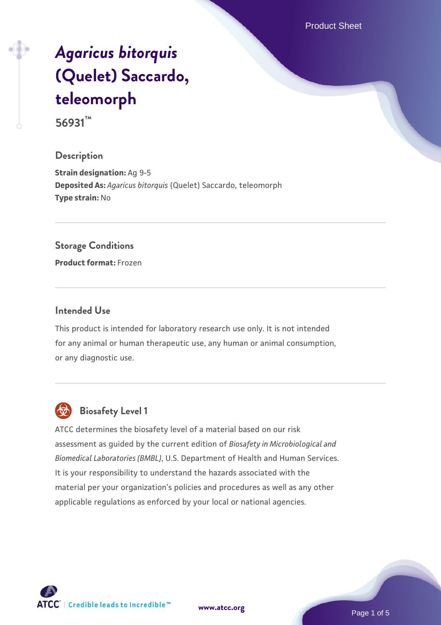Product Sheet

# *[Agaricus bitorquis](https://www.atcc.org/products/56931)* **[\(Quelet\) Saccardo,](https://www.atcc.org/products/56931) [teleomorph](https://www.atcc.org/products/56931)**

**56931™**

#### **Description**

**Strain designation:** Ag 9-5 **Deposited As:** *Agaricus bitorquis* (Quelet) Saccardo, teleomorph **Type strain:** No

#### **Storage Conditions**

**Product format:** Frozen

#### **Intended Use**

This product is intended for laboratory research use only. It is not intended for any animal or human therapeutic use, any human or animal consumption, or any diagnostic use.



## **Biosafety Level 1**

ATCC determines the biosafety level of a material based on our risk assessment as guided by the current edition of *Biosafety in Microbiological and Biomedical Laboratories (BMBL)*, U.S. Department of Health and Human Services. It is your responsibility to understand the hazards associated with the material per your organization's policies and procedures as well as any other applicable regulations as enforced by your local or national agencies.

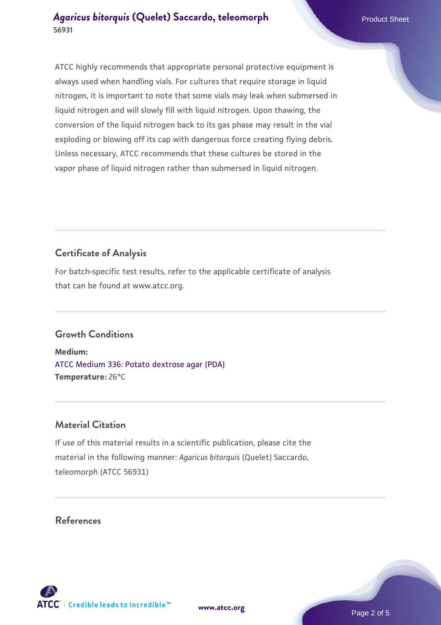ATCC highly recommends that appropriate personal protective equipment is always used when handling vials. For cultures that require storage in liquid nitrogen, it is important to note that some vials may leak when submersed in liquid nitrogen and will slowly fill with liquid nitrogen. Upon thawing, the conversion of the liquid nitrogen back to its gas phase may result in the vial exploding or blowing off its cap with dangerous force creating flying debris. Unless necessary, ATCC recommends that these cultures be stored in the vapor phase of liquid nitrogen rather than submersed in liquid nitrogen.

# **Certificate of Analysis**

For batch-specific test results, refer to the applicable certificate of analysis that can be found at www.atcc.org.

## **Growth Conditions**

**Medium:**  [ATCC Medium 336: Potato dextrose agar \(PDA\)](https://www.atcc.org/-/media/product-assets/documents/microbial-media-formulations/3/3/6/atcc-medium-336.pdf?rev=d9160ad44d934cd8b65175461abbf3b9) **Temperature:** 26°C

## **Material Citation**

If use of this material results in a scientific publication, please cite the material in the following manner: *Agaricus bitorquis* (Quelet) Saccardo, teleomorph (ATCC 56931)

## **References**



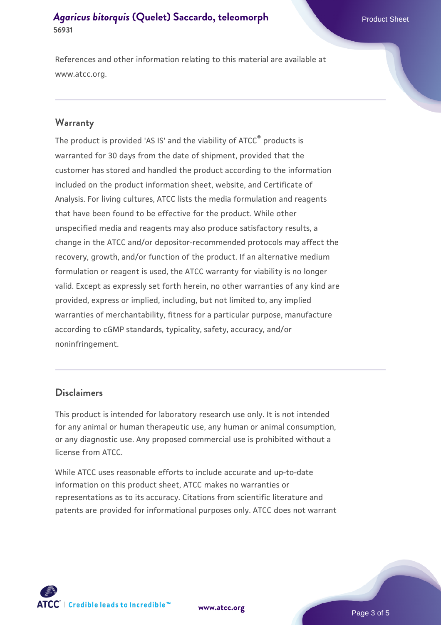References and other information relating to this material are available at www.atcc.org.

#### **Warranty**

The product is provided 'AS IS' and the viability of ATCC® products is warranted for 30 days from the date of shipment, provided that the customer has stored and handled the product according to the information included on the product information sheet, website, and Certificate of Analysis. For living cultures, ATCC lists the media formulation and reagents that have been found to be effective for the product. While other unspecified media and reagents may also produce satisfactory results, a change in the ATCC and/or depositor-recommended protocols may affect the recovery, growth, and/or function of the product. If an alternative medium formulation or reagent is used, the ATCC warranty for viability is no longer valid. Except as expressly set forth herein, no other warranties of any kind are provided, express or implied, including, but not limited to, any implied warranties of merchantability, fitness for a particular purpose, manufacture according to cGMP standards, typicality, safety, accuracy, and/or noninfringement.

#### **Disclaimers**

This product is intended for laboratory research use only. It is not intended for any animal or human therapeutic use, any human or animal consumption, or any diagnostic use. Any proposed commercial use is prohibited without a license from ATCC.

While ATCC uses reasonable efforts to include accurate and up-to-date information on this product sheet, ATCC makes no warranties or representations as to its accuracy. Citations from scientific literature and patents are provided for informational purposes only. ATCC does not warrant



**[www.atcc.org](http://www.atcc.org)**

Page 3 of 5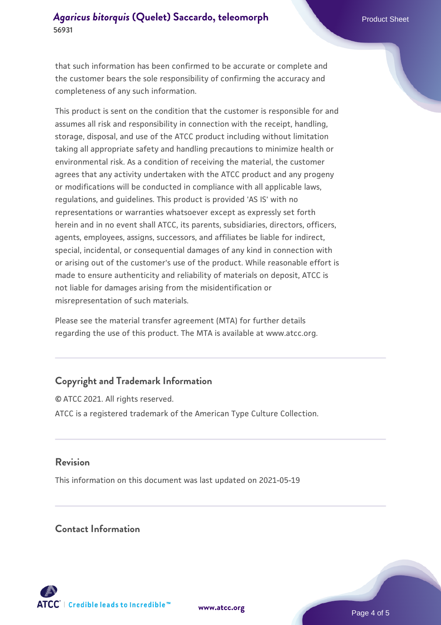that such information has been confirmed to be accurate or complete and the customer bears the sole responsibility of confirming the accuracy and completeness of any such information.

This product is sent on the condition that the customer is responsible for and assumes all risk and responsibility in connection with the receipt, handling, storage, disposal, and use of the ATCC product including without limitation taking all appropriate safety and handling precautions to minimize health or environmental risk. As a condition of receiving the material, the customer agrees that any activity undertaken with the ATCC product and any progeny or modifications will be conducted in compliance with all applicable laws, regulations, and guidelines. This product is provided 'AS IS' with no representations or warranties whatsoever except as expressly set forth herein and in no event shall ATCC, its parents, subsidiaries, directors, officers, agents, employees, assigns, successors, and affiliates be liable for indirect, special, incidental, or consequential damages of any kind in connection with or arising out of the customer's use of the product. While reasonable effort is made to ensure authenticity and reliability of materials on deposit, ATCC is not liable for damages arising from the misidentification or misrepresentation of such materials.

Please see the material transfer agreement (MTA) for further details regarding the use of this product. The MTA is available at www.atcc.org.

## **Copyright and Trademark Information**

© ATCC 2021. All rights reserved. ATCC is a registered trademark of the American Type Culture Collection.

#### **Revision**

This information on this document was last updated on 2021-05-19

### **Contact Information**



**[www.atcc.org](http://www.atcc.org)**

Page 4 of 5